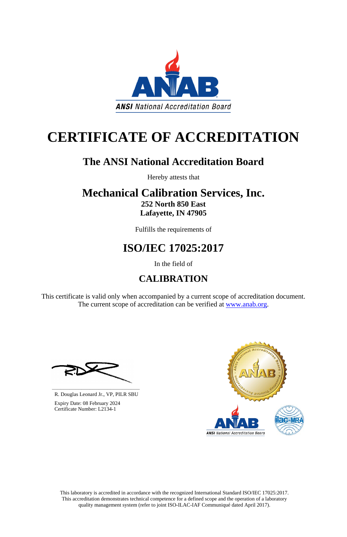This laboratory is accredited in accordance with the recognized International Standard ISO/IEC 17025:2017. This accreditation demonstrates technical competence for a defined scope and the operation of a laboratory quality management system (refer to joint ISO-ILAC-IAF Communiqué dated April 2017).

This certificate is valid only when accompanied by a current scope of accreditation document. The current scope of accreditation can be verified at [www.anab.org.](http://www.anab.org/)





# **CERTIFICATE OF ACCREDITATION**

# **The ANSI National Accreditation Board**

Hereby attests that

# **Mechanical Calibration Services, Inc. 252 North 850 East Lafayette, IN 47905**

Fulfills the requirements of

# **ISO/IEC 17025:2017**

In the field of

# **CALIBRATION**

**\_\_\_\_\_\_\_\_\_\_\_\_\_\_\_\_\_\_\_\_\_\_\_\_\_\_\_\_\_\_** R. Douglas Leonard Jr., VP, PILR SBU



 Expiry Date: 08 February 2024 Certificate Number: L2134-1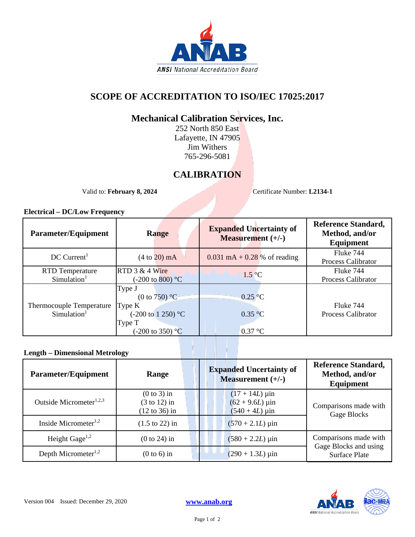

## **SCOPE OF ACCREDITATION TO ISO/IEC 17025:2017**

### **Mechanical Calibration Services, Inc.**

252 North 850 East Lafayette, IN 47905 Jim Withers 765-296-5081

### **CALIBRATION**

Valid to: **February 8, 2024** Certificate Number: **L2134-1** 

#### **Electrical – DC/Low Frequency**

| <b>Parameter/Equipment</b>                          | <b>Range</b>                                                                                                  | <b>Expanded Uncertainty of</b><br><b>Measurement</b> $(+/-)$ | <b>Reference Standard,</b><br>Method, and/or<br>Equipment |
|-----------------------------------------------------|---------------------------------------------------------------------------------------------------------------|--------------------------------------------------------------|-----------------------------------------------------------|
| $DC$ Current <sup>1</sup>                           | $(4 \text{ to } 20) \text{ mA}$                                                                               | $0.031 \text{ mA} + 0.28 \text{ % of reading}$               | Fluke 744<br>Process Calibrator                           |
| <b>RTD</b> Temperature<br>Simulation <sup>1</sup>   | RTD $3 & 4$ Wire<br>$(-200 \text{ to } 800)$ °C                                                               | $1.5\degree C$                                               | Fluke 744<br><b>Process Calibrator</b>                    |
| Thermocouple Temperature<br>Simulation <sup>1</sup> | Type J<br>(0 to $750$ ) °C<br>Type K<br>$(-200 \text{ to } 1250)$ °C<br>Type T<br>$(-200 \text{ to } 350)$ °C | $0.25\degree C$<br>0.35 °C<br>$0.37 \text{ °C}$              | Fluke 744<br><b>Process Calibrator</b>                    |

### **Length – Dimensional Metrology**

| <b>Parameter/Equipment</b>          | Range                                                                | <b>Expanded Uncertainty of</b><br>Measurement $(+/-)$                 | <b>Reference Standard,</b><br>Method, and/or<br>Equipment |
|-------------------------------------|----------------------------------------------------------------------|-----------------------------------------------------------------------|-----------------------------------------------------------|
| Outside Micrometer <sup>1,2,3</sup> | $(0 to 3)$ in<br>$(3 \text{ to } 12)$ in<br>$(12 \text{ to } 36)$ in | $(17 + 14L)$ µin<br>$(62 + 9.6L) \,\mu \text{in}$<br>$(540 + 4L)$ µin | Comparisons made with<br>Gage Blocks                      |
| Inside Micrometer <sup>1,2</sup>    | $(1.5 \text{ to } 22)$ in                                            | $(570 + 2.1L)$ µin                                                    |                                                           |
| Height Gage <sup>1,2</sup>          | $(0 to 24)$ in                                                       | $(580 + 2.2L) \,\mu$ in                                               | Comparisons made with                                     |
| Depth Micrometer <sup>1,2</sup>     | $(0 to 6)$ in                                                        | $(290 + 1.3L) \,\mu \text{in}$                                        | Gage Blocks and using<br><b>Surface Plate</b>             |